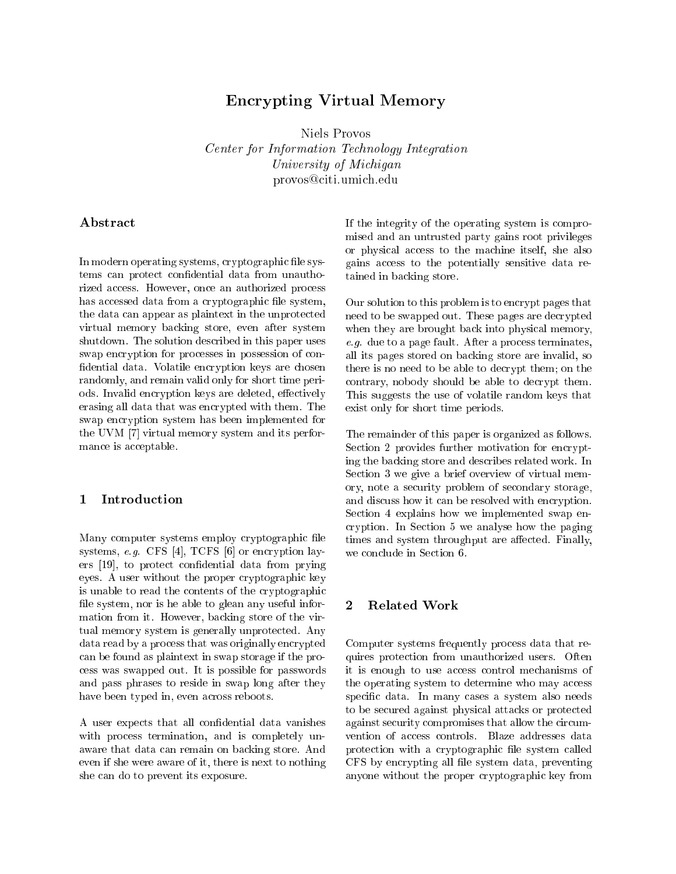# En
rypting Virtual Memory

Niels Provos Center for Information Te
hnology Integration University of Mi
higan provos@citi.umich.edu

## Abstract

In modern operating systems, cryptographic file systems can protect confidential data from unauthorized access. However, once an authorized process has accessed data from a cryptographic file system, the data an appear as plaintext in the unprote
ted virtual memory ba
king store, even after system shutdown. The solution des
ribed in this paper uses swap en
ryption for pro
esses in possession of on fidential data. Volatile encryption keys are chosen randomly, and remain valid only for short time periods. Invalid encryption keys are deleted, effectively erasing all data that was en
rypted with them. The swap en
ryption system has been implemented for the UVM  $[7]$  virtual memory system and its performance is acceptable.

### Introduction  $\mathbf{1}$

Many computer systems employ cryptographic file systems,  $e.g.$  CFS [4], TCFS [6] or encryption layers  $[19]$ , to protect confidential data from prying eyes. A user without the proper cryptographic key is unable to read the contents of the cryptographic file system, nor is he able to glean any useful information from it. However, ba
king store of the virtual memory system is generally unprotected. Any data read by a process that was originally encrypted an be found as plaintext in swap storage if the pro ess was swapped out. It is possible for passwords and pass phrases to reside in swap long after they have been typed in, even across reboots.

A user expects that all confidential data vanishes with process termination, and is completely unaware that data can remain on backing store. And even if she were aware of it, there is next to nothing she an do to prevent its exposure.

If the integrity of the operating system is ompromised and an untrusted party gains root privileges or physical access to the machine itself, she also gains access to the potentially sensitive data retained in ba
king store.

Our solution to this problem is to encrypt pages that need to be swapped out. These pages are decrypted when they are brought back into physical memory, e.g. due to a page fault. After a pro
ess terminates, all its pages stored on ba
king store are invalid, so there is no need to be able to decrypt them; on the contrary, nobody should be able to decrypt them. This suggests the use of volatile random keys that exist only for short time periods.

The remainder of this paper is organized as follows. Section 2 provides further motivation for encrypting the ba
king store and des
ribes related work. In Section 3 we give a brief overview of virtual memory, note a se
urity problem of se
ondary storage, and discuss how it can be resolved with encryption. Section 4 explains how we implemented swap enryption. In Se
tion 5 we analyse how the paging times and system throughput are affected. Finally, we conclude in Section 6.

#### $\overline{2}$ Related Work

Computer systems frequently pro
ess data that requires prote
tion from unauthorized users. Often it is enough to use access control mechanisms of the operating system to determine who may access specific data. In many cases a system also needs to be se
ured against physi
al atta
ks or prote
ted against security compromises that allow the circumvention of access controls. Blaze addresses data protection with a cryptographic file system called CFS by encrypting all file system data, preventing anyone without the proper cryptographic key from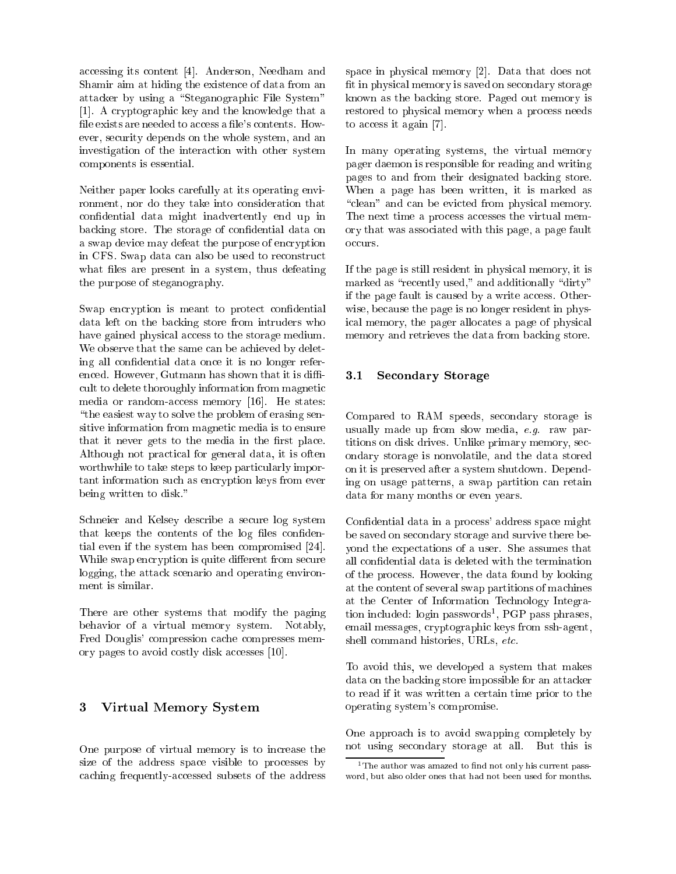accessing its content [4]. Anderson, Needham and Shamir aim at hiding the existen
e of data from an attacker by using a "Steganographic File System" [1]. A cryptographic key and the knowledge that a file exists are needed to access a file's contents. However, se
urity depends on the whole system, and an investigation of the intera
tion with other system omponents is essential.

Neither paper looks arefully at its operating environment, nor do they take into consideration that confidential data might inadvertently end up in backing store. The storage of confidential data on a swap device may defeat the purpose of encryption in CFS. Swap data can also be used to reconstruct what files are present in a system, thus defeating the purpose of steganography.

Swap encryption is meant to protect confidential data left on the backing store from intruders who have gained physical access to the storage medium. We observe that the same can be achieved by deleting all confidential data once it is no longer referenced. However, Gutmann has shown that it is difficult to delete thoroughly information from magnetic media or random-access memory [16]. He states: "the easiest way to solve the problem of erasing sensitive information from magnetic media is to ensure that it never gets to the media in the first place. Although not practical for general data, it is often worthwhile to take steps to keep particularly important information such as encryption keys from ever being written to disk."

Schneier and Kelsey describe a secure log system that keeps the contents of the log files confidential even if the system has been compromised  $[24]$ . While swap encryption is quite different from secure logging, the attack scenario and operating environment is similar.

There are other systems that modify the paging behavior of a virtual memory system. Notably, Fred Douglis' compression cache compresses memory pages to avoid costly disk accesses [10].

#### 3 3 Virtual Memory System

One purpose of virtual memory is to increase the size of the address space visible to processes by caching frequently-accessed subsets of the address

space in physical memory  $[2]$ . Data that does not fit in physical memory is saved on secondary storage known as the ba
king store. Paged out memory is restored to physical memory when a process needs to access it again  $[7]$ .

In many operating systems, the virtual memory pager daemon is responsible for reading and writing pages to and from their designated ba
king store. When a page has been written, it is marked as "clean" and can be evicted from physical memory. The next time a process accesses the virtual memory that was asso
iated with this page, a page fault occurs.

If the page is still resident in physi
al memory, it is marked as "recently used," and additionally "dirty" if the page fault is caused by a write access. Otherwise, because the page is no longer resident in physi
al memory, the pager allo
ates a page of physi
al memory and retrieves the data from ba
king store.

#### 3.1Se
ondary Storage

Compared to RAM speeds, secondary storage is usually made up from slow media, e.g. raw partitions on disk drives. Unlike primary memory, se
 ondary storage is nonvolatile, and the data stored on it is preserved after a system shutdown. Depending on usage patterns, a swap partition an retain data for many months or even years.

Confidential data in a process' address space might be saved on se
ondary storage and survive there beyond the expe
tations of a user. She assumes that all confidential data is deleted with the termination of the pro
ess. However, the data found by looking at the ontent of several swap partitions of ma
hines at the Center of Information Te
hnology Integration included: login passwords", PGP pass phrases, email messages, ryptographi keys from ssh-agent, shell command histories, URLs, etc.

To avoid this, we developed a system that makes data on the backing store impossible for an attacker to read if it was written a ertain time prior to the operating system's ompromise.

One approach is to avoid swapping completely by not using se
ondary storage at all. But this is

the author was amazed to find not only his current password, but also older ones that had not been used for months also months.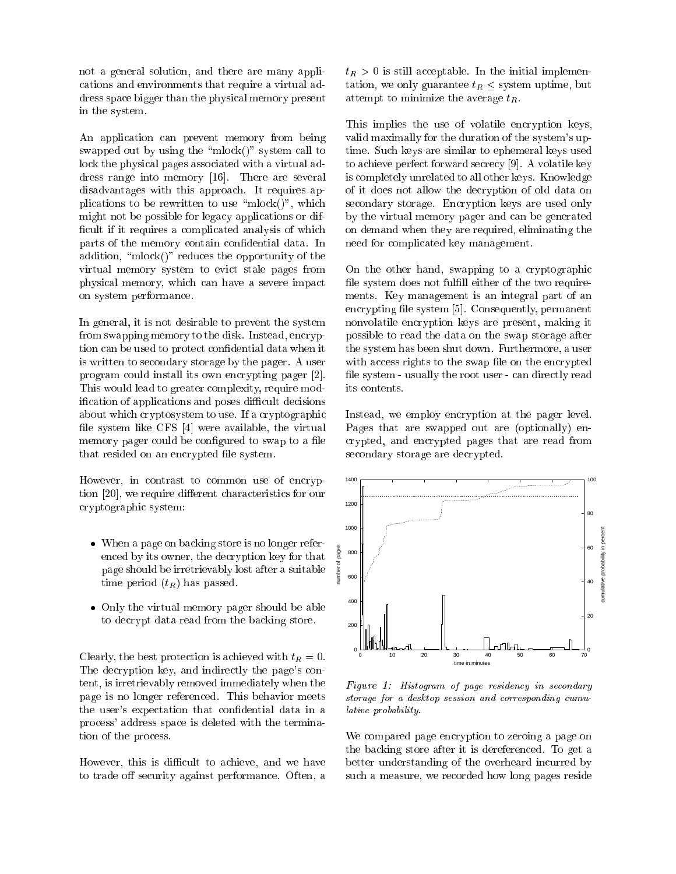not a general solution, and there are many appli ations and environments that require a virtual address spa
e bigger than the physi
al memory present in the system.

An application can prevent memory from being swapped out by using the "mlock()" system call to lock the physical pages associated with a virtual address range into memory  $[16]$ . There are several disadvantages with this approa
h. It requires applications to be rewritten to use "mlock()", which might not be possible for legacy applications or difficult if it requires a complicated analysis of which parts of the memory contain confidential data. In addition, " $mlock()$ " reduces the opportunity of the virtual memory system to evict stale pages from physi
al memory, whi
h an have a severe impa
t on system performan
e.

In general, it is not desirable to prevent the system from swapping memory to the disk. Instead, encryption can be used to protect confidential data when it is written to se
ondary storage by the pager. A user program could install its own encrypting pager [2]. This would lead to greater complexity, require modification of applications and poses difficult decisions about which cryptosystem to use. If a cryptographic file system like CFS  $[4]$  were available, the virtual memory pager could be configured to swap to a file that resided on an encrypted file system.

However, in contrast to common use of encryption [20], we require different characteristics for our ryptographi system:

- when a page on band store is no longer refere en
ed by its owner, the de
ryption key for that page should be irretrievably lost after a suitable time period  $(t_R)$  has passed.
- Only the virtual memory pager should be able to de
rypt data read from the ba
king store.

Clearly, the best protection is achieved with  $t_R = 0$ . The decryption key, and indirectly the page's content, is irretrievably removed immediately when the page is no longer referen
ed. This behavior meets the user's expectation that confidential data in a pro
ess' address spa
e is deleted with the termination of the pro
ess.

However, this is difficult to achieve, and we have to trade off security against performance. Often, a  $t_R > 0$  is still acceptable. In the initial implementation, we only guarantee  $t_R \leq$  system uptime, but attempt to minimize the average  $t_R$ .

This implies the use of volatile encryption keys, valid maximally for the duration of the system's uptime. Su
h keys are similar to ephemeral keys used to achieve perfect forward secrecy [9]. A volatile key is ompletely unrelated to all other keys. Knowledge of it does not allow the de
ryption of old data on secondary storage. Encryption keys are used only by the virtual memory pager and an be generated on demand when they are required, eliminating the need for ompli
ated key management.

On the other hand, swapping to a cryptographic file system does not fulfill either of the two requirements. Key management is an integral part of an encrypting file system [5]. Consequently, permanent nonvolatile en
ryption keys are present, making it possible to read the data on the swap storage after the system has been shut down. Furthermore, a user with access rights to the swap file on the encrypted file system - usually the root user - can directly read its contents.

Instead, we employ encryption at the pager level. Pages that are swapped out are (optionally) en rypted, and en
rypted pages that are read from secondary storage are decrypted.



Figure 1: Histogram of page residen
y in se
ondary storage for a desktop session and corresponding cumulative probability.

We compared page encryption to zeroing a page on the ba
king store after it is dereferen
ed. To get a better understanding of the overheard incurred by su
h a measure, we re
orded how long pages reside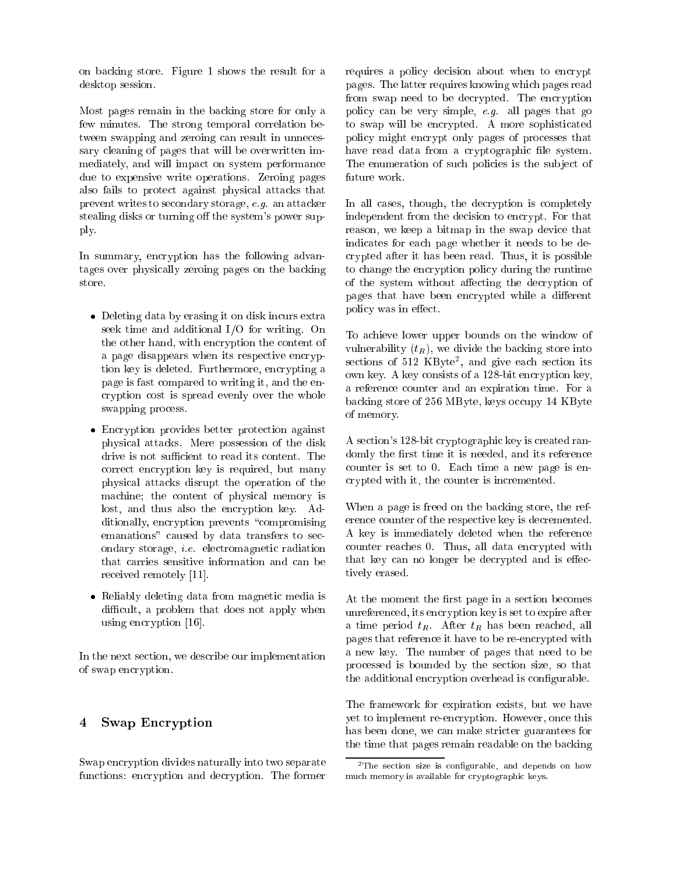on ba
king store. Figure 1 shows the result for a desktop session.

Most pages remain in the ba
king store for only a few minutes. The strong temporal orrelation between swapping and zeroing can result in unnecessary leaning of pages that will be overwritten immediately, and will impa
t on system performan
e due to expensive write operations. Zeroing pages also fails to prote
t against physi
al atta
ks that prevent writes to se
ondary storage, e.g. an atta
ker stealing disks or turning off the system's power supply.

In summary, encryption has the following advantages over physi
ally zeroing pages on the ba
king store.

- $\sim$  extra by extra by the distribution of distribution  $\sim$ seek time and additional I/O for writing. On the other hand, with encryption the content of a page disappears when its respective encryption key is deleted. Furthermore, encrypting a page is fast ompared to writing it, and the en ryption ost is spread evenly over the whole swapping pro
ess.
- En
ryption provides better prote
tion against physi
al atta
ks. Mere possession of the disk drive is not sufficient to read its content. The orre
t en
ryption key is required, but many physi
al atta
ks disrupt the operation of the ma
hine; the ontent of physi
al memory is lost, and thus also the encryption key. Additionally, encryption prevents "compromising emanations" caused by data transfers to secondary storage, i.e. ele
tromagneti radiation that arries sensitive information and an be received remotely [11].
- Reliably deleting data from magneti media is difficult, a problem that does not apply when using encryption  $[16]$ .

In the next se
tion, we des
ribe our implementation of swap en
ryption.

# 4 Swap En
ryption

Swap en
ryption divides naturally into two separate functions: encryption and decryption. The former requires a policy decision about when to encrypt pages. The latter requires knowing whi
h pages read from swap need to be decrypted. The encryption poli
y an be very simple, e.g. all pages that go to swap will be encrypted. A more sophisticated poli
y might en
rypt only pages of pro
esses that have read data from a cryptographic file system. The enumeration of such policies is the subject of future work.

In all cases, though, the decryption is completely independent from the decision to encrypt. For that reason, we keep a bitmap in the swap device that indi
ates for ea
h page whether it needs to be de rypted after it has been read. Thus, it is possible to hange the en
ryption poli
y during the runtime of the system without affecting the decryption of pages that have been encrypted while a different policy was in effect.

To a
hieve lower upper bounds on the window of vulnerability  $(t_R)$ , we divide the backing store into  $\sec$ tions of  $\sin 2$  KD  $\sin \theta$ , and give each section its own key. A key onsists of a 128-bit en
ryption key, a referen
e ounter and an expiration time. For a backing store of 256 MByte, keys occupy 14 KByte of memory.

A section's 128-bit cryptographic key is created randomly the first time it is needed, and its reference counter is set to 0. Each time a new page is enrypted with it, the ounter is in
remented.

When a page is freed on the backing store, the reference counter of the respective key is decremented. A key is immediately deleted when the referen
e ounter rea
hes 0. Thus, all data en
rypted with that key can no longer be decrypted and is effectively erased.

At the moment the first page in a section becomes unreferen
ed, its en
ryption key is set to expire after a time period  $t_R$ . After  $t_R$  has been reached, all pages that reference it have to be re-encrypted with a new key. The number of pages that need to be pro
essed is bounded by the se
tion size, so that the additional encryption overhead is configurable.

The framework for expiration exists, but we have yet to implement re-en
ryption. However, on
e this has been done, we can make stricter guarantees for the time that pages remain readable on the ba
king

the section size is configurable, and depends on now mu
h memory is available for ryptographi keys.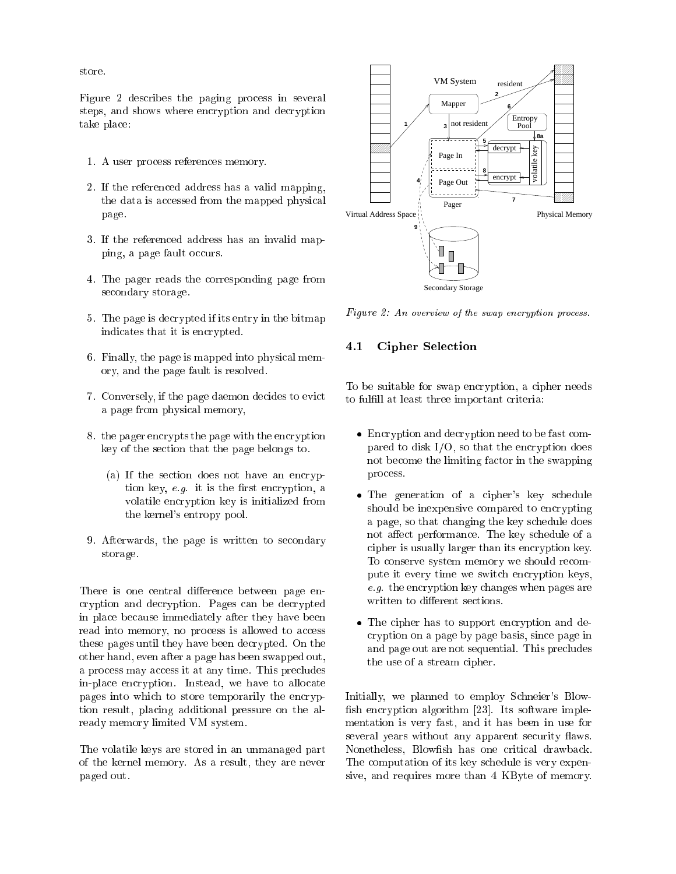store.

Figure 2 describes the paging process in several steps, and shows where encryption and decryption take pla
e:

- 1. A user pro
ess referen
es memory.
- 2. If the referen
ed address has a valid mapping, the data is accessed from the mapped physical page.
- 3. If the referen
ed address has an invalid mapping, a page fault occurs.
- 4. The pager reads the orresponding page from se
ondary storage.
- 5. The page is de
rypted if its entry in the bitmap indicates that it is encrypted.
- 6. Finally, the page is mapped into physi
al memory, and the page fault is resolved.
- 7. Conversely, if the page daemon de
ides to evi
t a page from physi
al memory,
- 8. the pager en
rypts the page with the en
ryption key of the se
tion that the page belongs to.
	- (a) If the section does not have an encryption key,  $e.g.$  it is the first encryption, a volatile en
	ryption key is initialized from the kernel's entropy pool.
- 9. Afterwards, the page is written to se
ondary storage.

There is one central difference between page enryption and de
ryption. Pages an be de
rypted in pla
e be
ause immediately after they have been read into memory, no process is allowed to access these pages until they have been decrypted. On the other hand, even after a page has been swapped out, a process may access it at any time. This precludes in-pla
e en
ryption. Instead, we have to allo
ate pages into which to store temporarily the encryption result, placing additional pressure on the already memory limited VM system.

The volatile keys are stored in an unmanaged part of the kernel memory. As a result, they are never paged out.



Figure 2: An overview of the swap en
ryption pro
ess.

#### 4.1Cipher Sele
tion

To be suitable for swap encryption, a cipher needs to fulfill at least three important criteria:

- En
ryption and de
ryption need to be fast ompared to disk  $I/O$ , so that the encryption does not be
ome the limiting fa
tor in the swapping pro
ess.
- The generation of a cipher's key schedule should be inexpensive compared to encrypting a page, so that hanging the key s
hedule does not affect performance. The key schedule of a cipher is usually larger than its encryption key. To conserve system memory we should recompute it every time we swit
h en
ryption keys, e.g. the en
ryption key hanges when pages are written to different sections.
- The ipher has to support en
ryption and de ryption on a page by page basis, sin
e page in and page out are not sequential. This pre
ludes the use of a stream cipher.

Initially, we planned to employ Schneier's Blowfish encryption algorithm [23]. Its software implementation is very fast, and it has been in use for several years without any apparent security flaws. Nonetheless, Blowfish has one critical drawback. The omputation of its key s
hedule is very expensive, and requires more than 4 KByte of memory.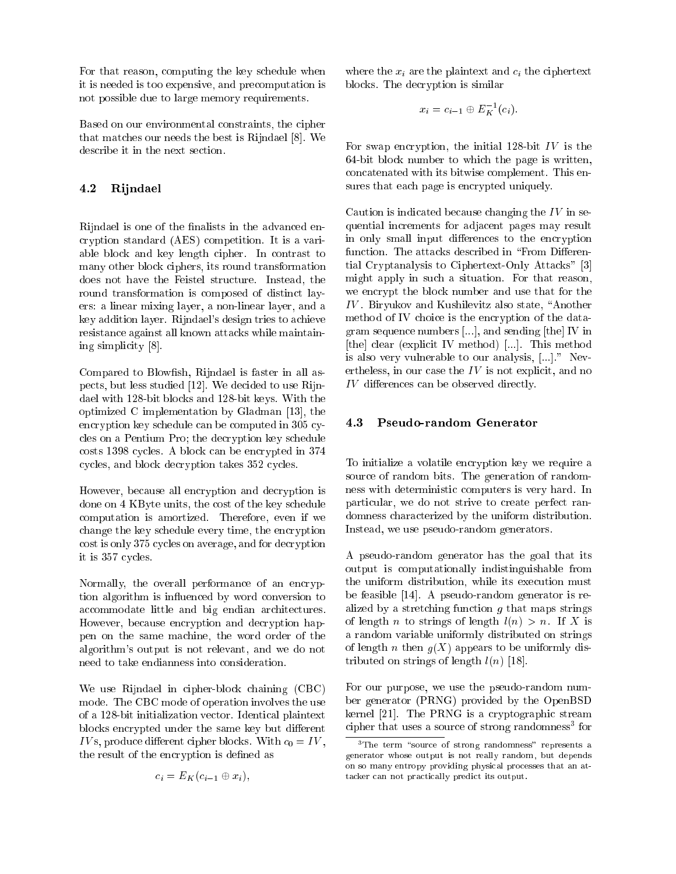For that reason, omputing the key s
hedule when it is needed is too expensive, and pre
omputation is not possible due to large memory requirements.

Based on our environmental onstraints, the ipher that matches our needs the best is Rijndael [8]. We describe it in the next section.

#### 4.2Rijndael

Rijndael is one of the finalists in the advanced enryption standard (AES) ompetition. It is a variable blo
k and key length ipher. In ontrast to many other blo
k iphers, its round transformation does not have the Feistel structure. Instead, the round transformation is composed of distinct layers: a linear mixing layer, a non-linear layer, and a key addition layer. Rijndael's design tries to a
hieve resistan
e against all known atta
ks while maintaining simplicity [8].

Compared to Blowfish, Rijndael is faster in all aspects, but less studied [12]. We decided to use Rijndael with 128-bit blo
ks and 128-bit keys. With the optimized C implementation by Gladman  $[13]$ , the encryption key schedule can be computed in 305 cyles on a Pentium Pro; the de
ryption key s
hedule costs 1398 cycles. A block can be encrypted in 374 cycles, and block decryption takes 352 cycles.

However, be
ause all en
ryption and de
ryption is done on 4 KByte units, the cost of the key schedule omputation is amortized. Therefore, even if we hange the key s
hedule every time, the en
ryption cost is only 375 cycles on average, and for decryption it is 357 cycles.

Normally, the overall performance of an encryption algorithm is influenced by word conversion to accommodate little and big endian architectures. However, because encryption and decryption happen on the same ma
hine, the word order of the algorithm's output is not relevant, and we do not need to take endianness into onsideration.

We use Rijndael in cipher-block chaining (CBC) mode. The CBC mode of operation involves the use of a 128-bit initialization ve
tor. Identi
al plaintext blocks encrypted under the same key but different e die plaas bloed bloed bloed bloed bloed bloed bloed bloed bloed bloed bloed bloed bloed bloed bloed bloed bl the result of the encryption is defined as

$$
c_i = E_K(c_{i-1} \oplus x_i),
$$

where the  $x_i$  are the plaintext and  $c_i$  the ciphertext blo
ks. The de
ryption is similar

$$
x_i = c_{i-1} \oplus E_K^{-1}(c_i).
$$

For swap encryption, the initial 128-bit  $IV$  is the 64-bit blo
k number to whi
h the page is written, on
atenated with its bitwise omplement. This ensures that each page is encrypted uniquely.

Caution is indicated because changing the  $IV$  in sequential in
rements for adja
ent pages may result in only small input differences to the encryption function. The attacks described in "From Differential Cryptanalysis to Ciphertext-Only Attacks" [3] might apply in su
h a situation. For that reason, we en
rypt the blo
k number and use that for the IV . Biryukov and Kushilevitz also state, \Another method of IV choice is the encryption of the datagram sequence numbers  $[\ldots]$ , and sending [the] IV in [the] clear (explicit IV method) [...]. This method is also very vulnerable to our analysis,  $[...]$ ." Nevertheless, in our case the  $IV$  is not explicit, and no IV dieren
es an be observed dire
tly.

#### 4.3Pseudo-random Generator

To initialize a volatile encryption key we require a sour
e of random bits. The generation of randomness with deterministi omputers is very hard. In particular, we do not strive to create perfect randomness hara
terized by the uniform distribution. Instead, we use pseudo-random generators.

A pseudo-random generator has the goal that its output is omputationally indistinguishable from the uniform distribution, while its exe
ution must be feasible  $[14]$ . A pseudo-random generator is realized by a stretching function  $g$  that maps strings of length n to strings of length  $l(n) > n$ . If X is a random variable uniformly distributed on strings of length *n* then  $g(X)$  appears to be uniformly distributed on strings of length  $l(n)$  [18].

For our purpose, we use the pseudo-random number generator (PRNG) provided by the OpenBSD kernel  $[21]$ . The PRNG is a cryptographic stream cipher that uses a source of strong randomness for

the term source of strong randomness represents a generator whose output is not really random, but depends on so many entropy providing physi
al pro
esses that an atta
ker an not pra
ti
ally predi
t its output.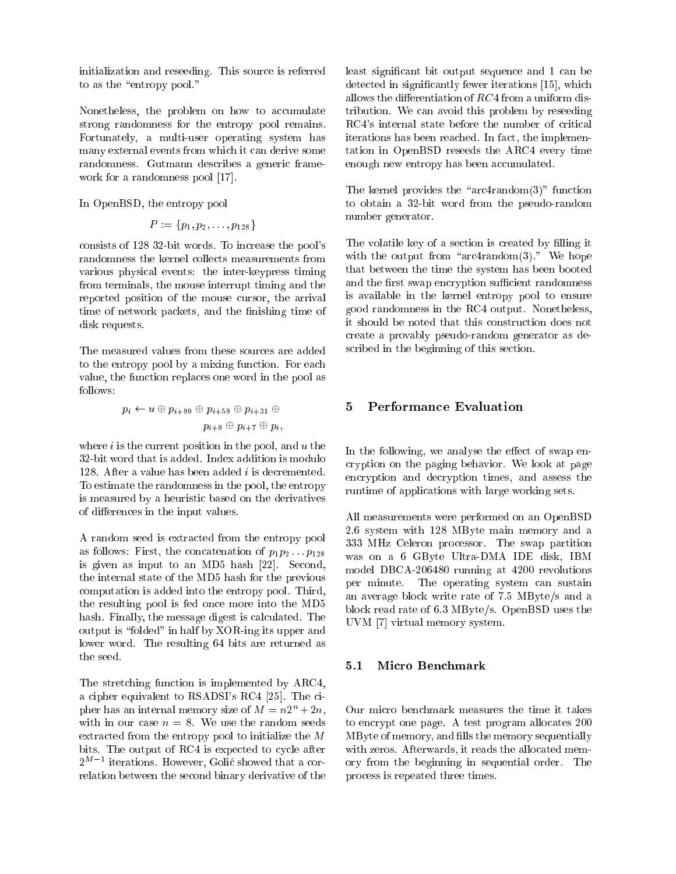initialization and reseeding. This sour
e is referred to as the "entropy pool."

Nonetheless, the problem on how to accumulate strong randomness for the entropy pool remains. Fortunately, a multi-user operating system has many external events from whi
h it an derive some randomness. Gutmann describes a generic framework for a randomness pool  $[17]$ .

In OpenBSD, the entropy pool

$$
P:=\{p_1,p_2,\ldots,p_{128}\}
$$

consists of 128 32-bit words. To increase the pool's randomness the kernel olle
ts measurements from various physi
al events: the inter-keypress timing from terminals, the mouse interrupt timing and the reported position of the mouse ursor, the arrival time of network packets, and the finishing time of disk requests.

The measured values from these sour
es are added to the entropy pool by a mixing function. For each value, the fun
tion repla
es one word in the pool as follows:

$$
p_i \leftarrow u \oplus p_{i+99} \oplus p_{i+59} \oplus p_{i+31} \oplus p_{i+9} \oplus p_{i+7} \oplus p_i,
$$

where  $i$  is the current position in the pool, and  $u$  the 32-bit word that is added. Index addition is modulo 128. After a value has been added *i* is decremented. To estimate the randomness in the pool, the entropy is measured by a heuristi based on the derivatives of differences in the input values.

A random seed is extracted from the entropy pool as follows: First, the concatenation of  $p_1p_2 \tildot p_{128}$ is given as input to an MD5 hash  $[22]$ . Second, the internal state of the MD5 hash for the previous omputation is added into the entropy pool. Third, the resulting pool is fed on
e more into the MD5 hash. Finally, the message digest is calculated. The output is "folded" in half by XOR-ing its upper and lower word. The resulting 64 bits are returned as the seed.

The stretching function is implemented by ARC4, a cipher equivalent to  $RSADSI's RC4 [25]$ . The cipher has an internal memory size of  $M = n2^n + 2n$ , with in our case  $n = 8$ . We use the random seeds extracted from the entropy pool to initialize the  $M$ bits. The output of RC4 is expected to cycle after 2 Lerations. However, Golic showed that a correlation between the se
ond binary derivative of the least significant bit output sequence and 1 can be detected in significantly fewer iterations [15], which allows the differentiation of  $RC4$  from a uniform distribution. We an avoid this problem by reseeding RC4's internal state before the number of critical iterations has been reached. In fact, the implementation in OpenBSD reseeds the ARC4 every time enough new entropy has been accumulated.

The kernel provides the " $arc4r$  and  $om(3)$ " function to obtain a 32-bit word from the pseudo-random number generator.

The volatile key of a section is created by filling it with the output from " $arc4random(3)$ ." We hope that between the time the system has been booted and the first swap encryption sufficient randomness is available in the kernel entropy pool to ensure good randomness in the RC4 output. Nonetheless, it should be noted that this onstru
tion does not reate a provably pseudo-random generator as described in the beginning of this section.

### 5 Performan
e Evaluation 5

In the following, we analyse the effect of swap enryption on the paging behavior. We look at page encryption and decryption times, and assess the runtime of applications with large working sets.

All measurements were performed on an OpenBSD 2.6 system with 128 MByte main memory and a 333 MHz Celeron pro
essor. The swap partition was on a 6 GByte Ultra-DMA IDE disk, IBM model DBCA-206480 running at 4200 revolutions per minute. The operating system an sustain an average blo
k write rate of 7.5 MByte/s and a blo
k read rate of 6.3 MByte/s. OpenBSD uses the  $UVM$  [7] virtual memory system.

Our micro benchmark measures the time it takes to en
rypt one page. A test program allo
ates 200 MByte of memory, and fills the memory sequentially with zeros. Afterwards, it reads the allocated memory from the beginning in sequential order. The pro
ess is repeated three times.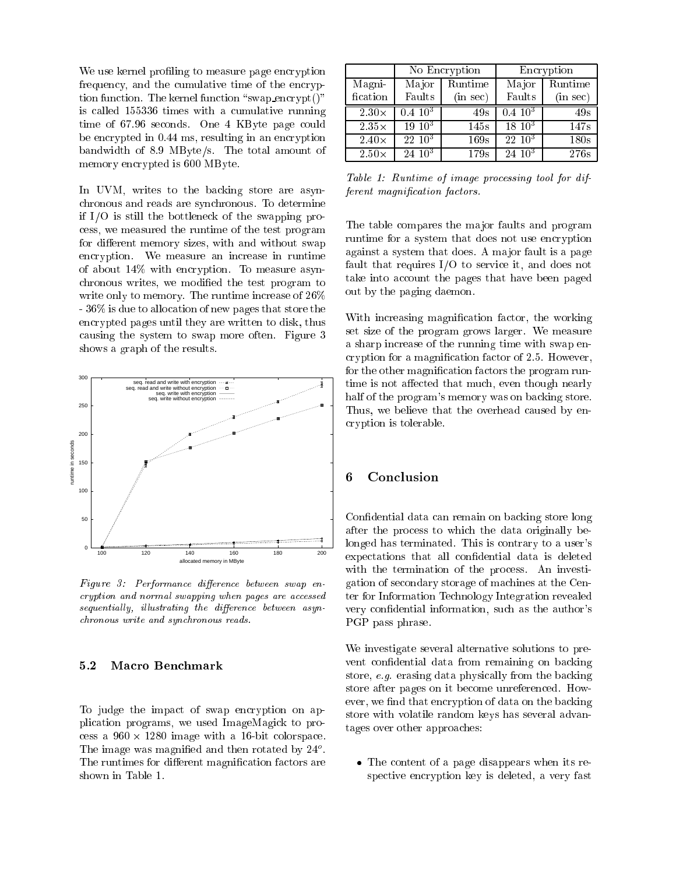We use kernel profiling to measure page encryption frequency, and the cumulative time of the encryption function. The kernel function "swap\_encrypt()" is alled 155336 times with a umulative running time of 67.96 seconds. One 4 KByte page could be encrypted in 0.44 ms, resulting in an encryption bandwidth of 8:9 MByte/s. The total amount of memory en
rypted is 600 MByte.

In UVM, writes to the backing store are asynhronous and reads are syn
hronous. To determine if I/O is still the bottlene
k of the swapping pro ess, we measured the runtime of the test program for different memory sizes, with and without swap encryption. We measure an increase in runtime of about 14% with en
ryption. To measure asyn hronous writes, we modied the test program to write only to memory. The runtime increase of  $26\%$ - 36% is due to allo
ation of new pages that store the en
rypted pages until they are written to disk, thus ausing the system to swap more often. Figure 3 shows a graph of the results.



Figure 3: Performan
e dieren
e between swap en cryption and normal swapping when pages are accessed sequentially, illustrating the difference between asynhronous write and syn
hronous reads.

#### $5.2$ Macro Benchmark

To judge the impact of swap encryption on appli
ation programs, we used ImageMagi
k to pro ess a 960 in 2280 <del>intervalses and a 26-bit and a 16-bit and a</del> The image was magnified and then rotated by  $24^{\circ}$ . The runtimes for different magnification factors are shown in Table 1.

|              | No Encryption |          | Encryption  |          |
|--------------|---------------|----------|-------------|----------|
| Magni-       | Major         | Runtime  | Major       | Runtime  |
| fication     | Faults        | (in sec) | Faults      | (in sec) |
| $2.30\times$ | $0.4~10^{3}$  | 49s      | $0.410^{3}$ | 49s      |
| $2.35\times$ | $19 \; 10^3$  | 145s     | $18\ 10^3$  | 147s     |
| $2.40\times$ | $22 \; 10^3$  | 169s     | $22\;10^3$  | 180s     |
| $2.50\times$ | $24 \; 10^3$  | 179s     | $2410^3$    | 276s     |

Table 1: Runtime of image pro
essing tool for different magni
ation fa
tors.

The table compares the major faults and program runtime for a system that does not use encryption against a system that does. A ma jor fault is a page fault that requires  $I/O$  to service it, and does not take into account the pages that have been paged out by the paging daemon.

With increasing magnification factor, the working set size of the program grows larger. We measure a sharp increase of the running time with swap encryption for a magnification factor of 2.5. However, for the other magnification factors the program runtime is not affected that much, even though nearly half of the program's memory was on backing store. Thus, we believe that the overhead caused by enryption is tolerable.

### 6 Con
lusion

Confidential data can remain on backing store long after the pro
ess to whi
h the data originally belonged has terminated. This is ontrary to a user's expectations that all confidential data is deleted with the termination of the process. An investigation of se
ondary storage of ma
hines at the Center for Information Te
hnology Integration revealed very confidential information, such as the author's PGP pass phrase.

We investigate several alternative solutions to prevent confidential data from remaining on backing store, e.g. erasing data physically from the backing store after pages on it be
ome unreferen
ed. However, we find that encryption of data on the backing store with volatile random keys has several advantages over other approa
hes:

 The ontent of a page disappears when its respective encryption key is deleted, a very fast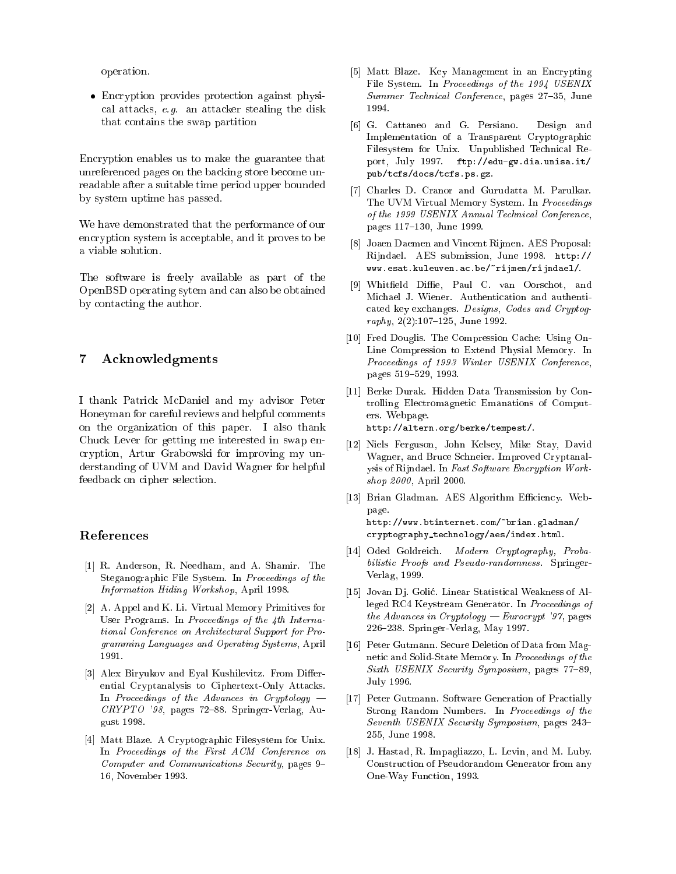operation.

 En
ryption provides prote
tion against physi al atta
ks, e.g. an atta
ker stealing the disk that ontains the swap partition

En
ryption enables us to make the guarantee that unreferen
ed pages on the ba
king store be
ome unreadable after a suitable time period upper bounded by system uptime has passed.

We have demonstrated that the performan
e of our encryption system is acceptable, and it proves to be a viable solution.

The software is freely available as part of the OpenBSD operating sytem and an also be obtained by onta
ting the author.

### 7 A
knowledgments

I thank Patri
k M
Daniel and my advisor Peter Honeyman for areful reviews and helpful omments on the organization of this paper. I also thank Chu
k Lever for getting me interested in swap en ryption, Artur Grabowski for improving my understanding of UVM and David Wagner for helpful feedback on cipher selection.

### References

- [1] R. Anderson, R. Needham, and A. Shamir. The Steganographic File System. In Proceedings of the Information Hiding Workshop, April 1998.
- [2] A. Appel and K. Li. Virtual Memory Primitives for User Programs. In Proceedings of the 4th International Conferen
e on Ar
hite
tural Support for Programming Languages and Operating Systems, April 1991.
- [3] Alex Biryukov and Eyal Kushilevitz. From Differential Cryptanalysis to Ciphertext-Only Atta
ks. In Proceedings of the Advances in Cryptology  $CRYPTO$  '98, pages 72-88. Springer-Verlag, August 1998.
- [4] Matt Blaze. A Cryptographic Filesystem for Unix. In Proceedings of the First ACM Conference on Computer and Communications Security, pages 9-16, November 1993.
- [5] Matt Blaze. Key Management in an Encrypting File System. In Proceedings of the 1994 USENIX Summer Technical Conference, pages 27-35, June 1994.
- [6] G. Cattaneo and G. Persiano. Design and Implementation of a Transparent Cryptographi Filesystem for Unix. Unpublished Technical Report, July 1997. ftp://edu-gw.dia.unisa.it/ pub/t
fs/do
s/t
fs.ps.gz.
- [7] Charles D. Cranor and Gurudatta M. Parulkar. The UVM Virtual Memory System. In Proceedings of the 1999 USENIX Annual Te
hni
al Conferen
e, pages 117-130, June 1999.
- [8] Joaen Daemen and Vincent Rijmen. AES Proposal: Rijndael. AES submission, June 1998. http:// www.esat.kuleuven.a
.be/~rijmen/rijndael/.
- [9] Whitfield Diffie, Paul C. van Oorschot, and Mi
hael J. Wiener. Authenti
ation and authenti ated key ex
hanges. Designs, Codes and Cryptog $raphy$ ,  $2(2):107-125$ , June 1992.
- [10] Fred Douglis. The Compression Cache: Using On-Line Compression to Extend Physial Memory. In Proceedings of 1993 Winter USENIX Conference, pages 519-529, 1993.
- [11] Berke Durak. Hidden Data Transmission by Controlling Ele
tromagneti Emanations of Computers. Webpage. http://altern.org/berke/tempest/.
- [12] Niels Ferguson, John Kelsey, Mike Stay, David Wagner, and Bru
e S
hneier. Improved Cryptanalysis of Rijndael. In Fast Software Encryption Workshop 2000, April 2000.
- [13] Brian Gladman. AES Algorithm Efficiency. Webpage. http://www.btinternet.
om/~brian.gladman/ryptography te
hnology/aes/index.html.
- [14] Oded Goldreich. Modern Cryptography, Probabilisti Proofs and Pseudo-randomness. Springer-Verlag, 1999.
- [15] Jovan Dj. Golić. Linear Statistical Weakness of Alleged RC4 Keystream Generator. In Proceedings of the Advances in Cryptology — Eurocrypt '97, pages 226{238. Springer-Verlag, May 1997.
- [16] Peter Gutmann. Secure Deletion of Data from Magnetic and Solid-State Memory. In Proceedings of the Sixth USENIX Security Symposium, pages 77-89, July 1996.
- [17] Peter Gutmann. Software Generation of Practially Strong Random Numbers. In Proceedings of the Seventh USENIX Security Symposium, pages 243-255, June 1998.
- [18] J. Hastad, R. Impagliazzo, L. Levin, and M. Luby. Constru
tion of Pseudorandom Generator from any One-Way Fun
tion, 1993.